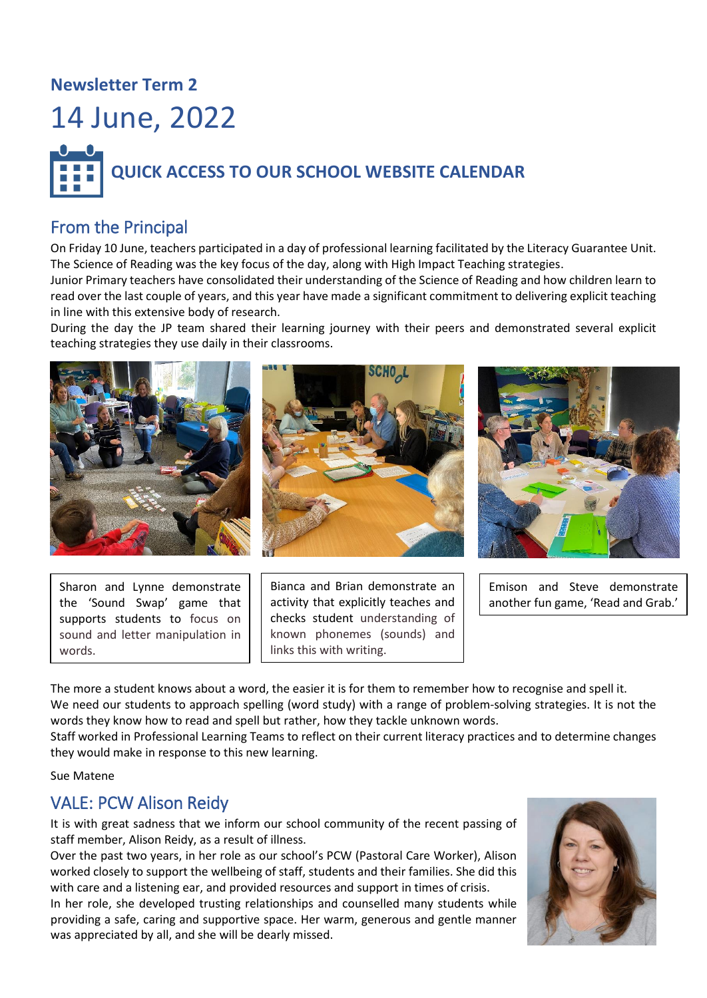## **Newsletter Term 2**





#### From the Principal

On Friday 10 June, teachers participated in a day of professional learning facilitated by the Literacy Guarantee Unit. The Science of Reading was the key focus of the day, along with High Impact Teaching strategies.

Junior Primary teachers have consolidated their understanding of the Science of Reading and how children learn to read over the last couple of years, and this year have made a significant commitment to delivering explicit teaching in line with this extensive body of research.

During the day the JP team shared their learning journey with their peers and demonstrated several explicit teaching strategies they use daily in their classrooms.



Sharon and Lynne demonstrate the 'Sound Swap' game that supports students to focus on sound and letter manipulation in words.

Bianca and Brian demonstrate an activity that explicitly teaches and checks student understanding of known phonemes (sounds) and links this with writing.

Emison and Steve demonstrate another fun game, 'Read and Grab.'

The more a student knows about a word, the easier it is for them to remember how to recognise and spell it. We need our students to approach spelling (word study) with a range of problem-solving strategies. It is not the words they know how to read and spell but rather, how they tackle unknown words.

Staff worked in Professional Learning Teams to reflect on their current literacy practices and to determine changes they would make in response to this new learning.

Sue Matene

#### VALE: PCW Alison Reidy

It is with great sadness that we inform our school community of the recent passing of staff member, Alison Reidy, as a result of illness.

Over the past two years, in her role as our school's PCW (Pastoral Care Worker), Alison worked closely to support the wellbeing of staff, students and their families. She did this with care and a listening ear, and provided resources and support in times of crisis.

In her role, she developed trusting relationships and counselled many students while providing a safe, caring and supportive space. Her warm, generous and gentle manner was appreciated by all, and she will be dearly missed.

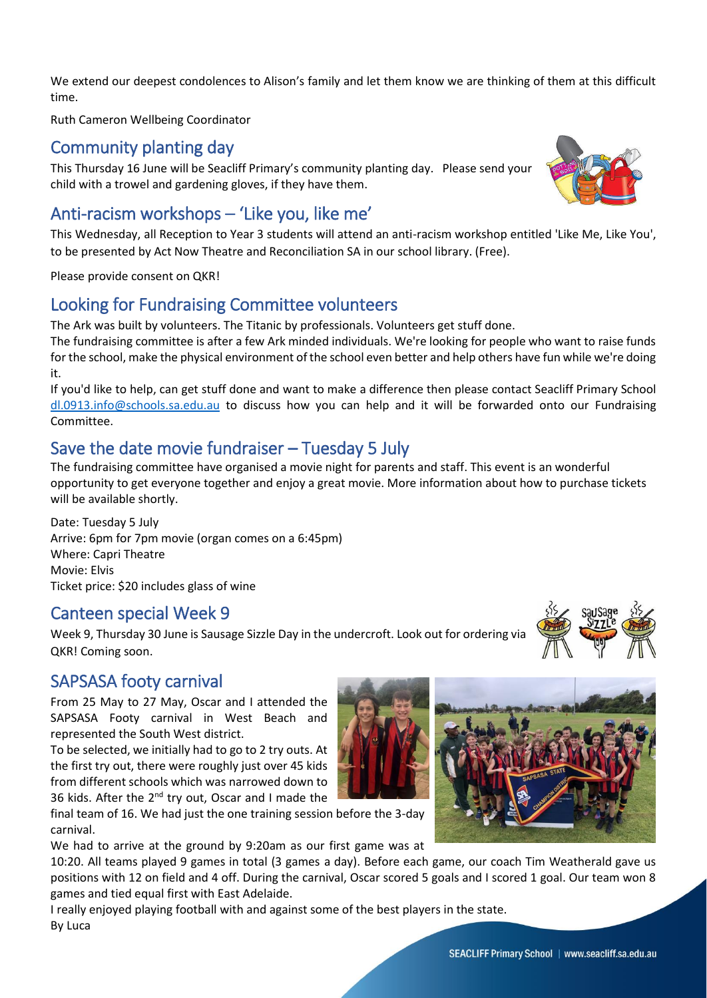We extend our deepest condolences to Alison's family and let them know we are thinking of them at this difficult time.

Ruth Cameron Wellbeing Coordinator

#### Community planting day

This Thursday 16 June will be Seacliff Primary's community planting day. Please send your child with a trowel and gardening gloves, if they have them.

## Anti-racism workshops – 'Like you, like me'

This Wednesday, all Reception to Year 3 students will attend an anti-racism workshop entitled 'Like Me, Like You', to be presented by Act Now Theatre and Reconciliation SA in our school library. (Free).

Please provide consent on QKR!

#### Looking for Fundraising Committee volunteers

The Ark was built by volunteers. The Titanic by professionals. Volunteers get stuff done. The fundraising committee is after a few Ark minded individuals. We're looking for people who want to raise funds for the school, make the physical environment of the school even better and help others have fun while we're doing

it. If you'd like to help, can get stuff done and want to make a difference then please contact Seacliff Primary School [dl.0913.info@schools.sa.edu.au](mailto:dl.0913.info@schools.sa.edu.au) to discuss how you can help and it will be forwarded onto our Fundraising Committee.

## Save the date movie fundraiser – Tuesday 5 July

The fundraising committee have organised a movie night for parents and staff. This event is an wonderful opportunity to get everyone together and enjoy a great movie. More information about how to purchase tickets will be available shortly.

Date: Tuesday 5 July Arrive: 6pm for 7pm movie (organ comes on a 6:45pm) Where: Capri Theatre Movie: Elvis Ticket price: \$20 includes glass of wine

#### Canteen special Week 9

Week 9, Thursday 30 June is Sausage Sizzle Day in the undercroft. Look out for ordering via QKR! Coming soon.

#### SAPSASA footy carnival

From 25 May to 27 May, Oscar and I attended the SAPSASA Footy carnival in West Beach and represented the South West district.

To be selected, we initially had to go to 2 try outs. At the first try out, there were roughly just over 45 kids from different schools which was narrowed down to 36 kids. After the  $2^{nd}$  try out, Oscar and I made the

final team of 16. We had just the one training session before the 3-day carnival.

We had to arrive at the ground by 9:20am as our first game was at

10:20. All teams played 9 games in total (3 games a day). Before each game, our coach Tim Weatherald gave us positions with 12 on field and 4 off. During the carnival, Oscar scored 5 goals and I scored 1 goal. Our team won 8 games and tied equal first with East Adelaide.

I really enjoyed playing football with and against some of the best players in the state. By Luca





SEACLIFF Primary School | www.seacliff.sa.edu.au